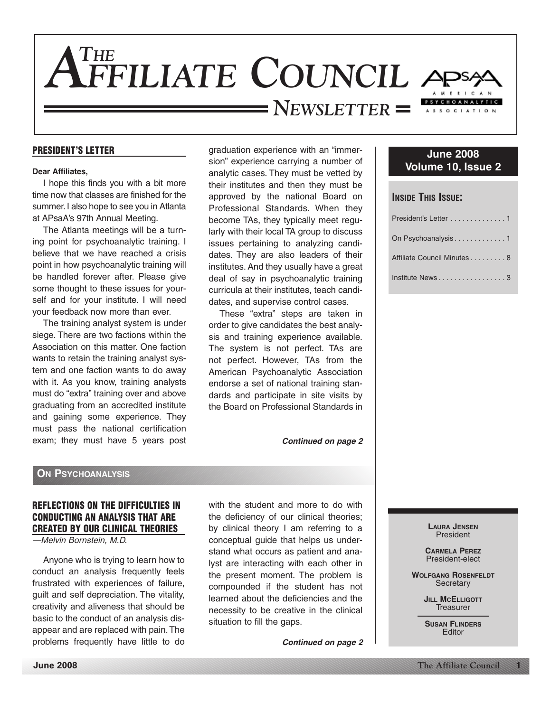

#### **PRESIDENT'S LETTER**

#### **Dear Affiliates,**

I hope this finds you with a bit more time now that classes are finished for the summer.I also hope to see you in Atlanta at APsaA's 97th Annual Meeting.

The Atlanta meetings will be a turning point for psychoanalytic training. I believe that we have reached a crisis point in how psychoanalytic training will be handled forever after. Please give some thought to these issues for yourself and for your institute. I will need your feedback now more than ever.

The training analyst system is under siege. There are two factions within the Association on this matter. One faction wants to retain the training analyst system and one faction wants to do away with it. As you know, training analysts must do "extra" training over and above graduating from an accredited institute and gaining some experience. They must pass the national certification exam; they must have 5 years post graduation experience with an "immersion" experience carrying a number of analytic cases. They must be vetted by their institutes and then they must be approved by the national Board on Professional Standards. When they become TAs, they typically meet regularly with their local TA group to discuss issues pertaining to analyzing candidates. They are also leaders of their institutes. And they usually have a great deal of say in psychoanalytic training curricula at their institutes, teach candidates, and supervise control cases.

These "extra" steps are taken in order to give candidates the best analysis and training experience available. The system is not perfect. TAs are not perfect. However, TAs from the American Psychoanalytic Association endorse a set of national training standards and participate in site visits by the Board on Professional Standards in

*Continued on page 2*

#### **June 2008 Volume 10, Issue 2**

### **INSIDE THIS ISSUE:**

| President's Letter 1        |
|-----------------------------|
| On Psychoanalysis1          |
| Affiliate Council Minutes 8 |
| Institute News3             |

#### **ON PSYCHOANALYSIS**

#### **REFLECTIONS ON THE DIFFICULTIES IN CONDUCTING AN ANALYSIS THAT ARE CREATED BY OUR CLINICAL THEORIES**

#### —Melvin Bornstein, M.D.

Anyone who is trying to learn how to conduct an analysis frequently feels frustrated with experiences of failure, guilt and self depreciation. The vitality, creativity and aliveness that should be basic to the conduct of an analysis disappear and are replaced with pain.The problems frequently have little to do

with the student and more to do with the deficiency of our clinical theories; by clinical theory I am referring to a conceptual guide that helps us understand what occurs as patient and analyst are interacting with each other in the present moment. The problem is compounded if the student has not learned about the deficiencies and the necessity to be creative in the clinical situation to fill the gaps.

*Continued on page 2*

**LAURA JENSEN** President

**CARMELA PEREZ** President-elect

**WOLFGANG ROSENFELDT Secretary** 

> **JILL MCELLIGOTT Treasurer**

**SUSAN FLINDERS** Editor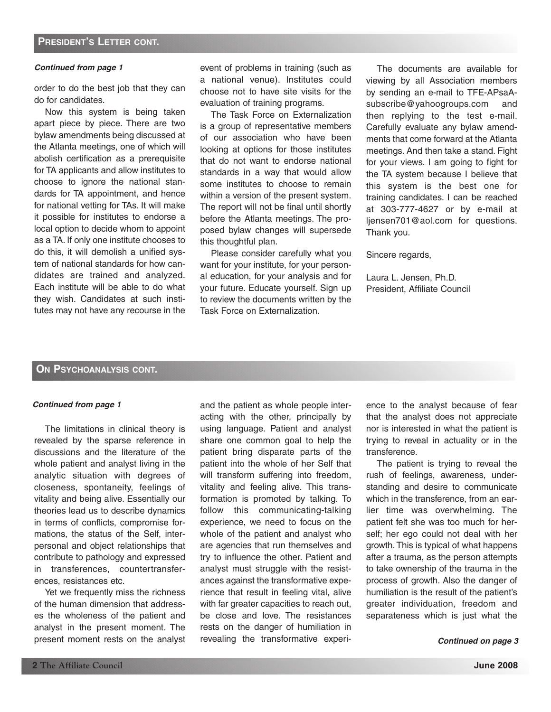#### *Continued from page 1*

order to do the best job that they can do for candidates.

Now this system is being taken apart piece by piece. There are two bylaw amendments being discussed at the Atlanta meetings, one of which will abolish certification as a prerequisite for TA applicants and allow institutes to choose to ignore the national standards for TA appointment, and hence for national vetting for TAs. It will make it possible for institutes to endorse a local option to decide whom to appoint as a TA. If only one institute chooses to do this, it will demolish a unified system of national standards for how candidates are trained and analyzed. Each institute will be able to do what they wish. Candidates at such institutes may not have any recourse in the event of problems in training (such as a national venue). Institutes could choose not to have site visits for the evaluation of training programs.

The Task Force on Externalization is a group of representative members of our association who have been looking at options for those institutes that do not want to endorse national standards in a way that would allow some institutes to choose to remain within a version of the present system. The report will not be final until shortly before the Atlanta meetings. The proposed bylaw changes will supersede this thoughtful plan.

Please consider carefully what you want for your institute, for your personal education, for your analysis and for your future. Educate yourself. Sign up to review the documents written by the Task Force on Externalization.

The documents are available for viewing by all Association members by sending an e-mail to TFE-APsaAsubscribe@yahoogroups.com and then replying to the test e-mail. Carefully evaluate any bylaw amendments that come forward at the Atlanta meetings. And then take a stand. Fight for your views. I am going to fight for the TA system because I believe that this system is the best one for training candidates. I can be reached at 303-777-4627 or by e-mail at ljensen701@aol.com for questions. Thank you.

Sincere regards,

Laura L. Jensen, Ph.D. President, Affiliate Council

#### **ON PSYCHOANALYSIS CONT.**

#### *Continued from page 1*

The limitations in clinical theory is revealed by the sparse reference in discussions and the literature of the whole patient and analyst living in the analytic situation with degrees of closeness, spontaneity, feelings of vitality and being alive. Essentially our theories lead us to describe dynamics in terms of conflicts, compromise formations, the status of the Self, interpersonal and object relationships that contribute to pathology and expressed in transferences, countertransferences, resistances etc.

Yet we frequently miss the richness of the human dimension that addresses the wholeness of the patient and analyst in the present moment. The present moment rests on the analyst and the patient as whole people interacting with the other, principally by using language. Patient and analyst share one common goal to help the patient bring disparate parts of the patient into the whole of her Self that will transform suffering into freedom, vitality and feeling alive. This transformation is promoted by talking. To follow this communicating-talking experience, we need to focus on the whole of the patient and analyst who are agencies that run themselves and try to influence the other. Patient and analyst must struggle with the resistances against the transformative experience that result in feeling vital, alive with far greater capacities to reach out, be close and love. The resistances rests on the danger of humiliation in revealing the transformative experi-

ence to the analyst because of fear that the analyst does not appreciate nor is interested in what the patient is trying to reveal in actuality or in the transference.

The patient is trying to reveal the rush of feelings, awareness, understanding and desire to communicate which in the transference, from an earlier time was overwhelming. The patient felt she was too much for herself; her ego could not deal with her growth. This is typical of what happens after a trauma, as the person attempts to take ownership of the trauma in the process of growth. Also the danger of humiliation is the result of the patient's greater individuation, freedom and separateness which is just what the

*Continued on page 3*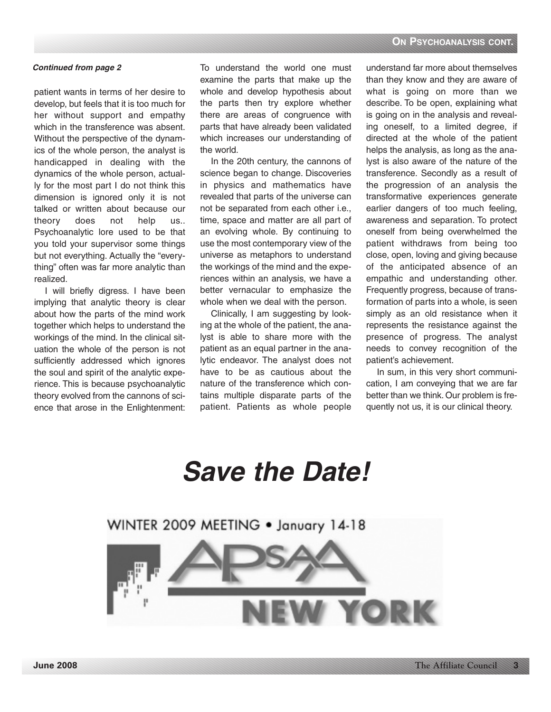#### *Continued from page 2*

patient wants in terms of her desire to develop, but feels that it is too much for her without support and empathy which in the transference was absent. Without the perspective of the dynamics of the whole person, the analyst is handicapped in dealing with the dynamics of the whole person, actually for the most part I do not think this dimension is ignored only it is not talked or written about because our theory does not help us.. Psychoanalytic lore used to be that you told your supervisor some things but not everything. Actually the "everything" often was far more analytic than realized.

I will briefly digress. I have been implying that analytic theory is clear about how the parts of the mind work together which helps to understand the workings of the mind. In the clinical situation the whole of the person is not sufficiently addressed which ignores the soul and spirit of the analytic experience. This is because psychoanalytic theory evolved from the cannons of science that arose in the Enlightenment: To understand the world one must examine the parts that make up the whole and develop hypothesis about the parts then try explore whether there are areas of congruence with parts that have already been validated which increases our understanding of the world.

In the 20th century, the cannons of science began to change. Discoveries in physics and mathematics have revealed that parts of the universe can not be separated from each other i.e., time, space and matter are all part of an evolving whole. By continuing to use the most contemporary view of the universe as metaphors to understand the workings of the mind and the experiences within an analysis, we have a better vernacular to emphasize the whole when we deal with the person.

Clinically, I am suggesting by looking at the whole of the patient, the analyst is able to share more with the patient as an equal partner in the analytic endeavor. The analyst does not have to be as cautious about the nature of the transference which contains multiple disparate parts of the patient. Patients as whole people understand far more about themselves than they know and they are aware of what is going on more than we describe. To be open, explaining what is going on in the analysis and revealing oneself, to a limited degree, if directed at the whole of the patient helps the analysis, as long as the analyst is also aware of the nature of the transference. Secondly as a result of the progression of an analysis the transformative experiences generate earlier dangers of too much feeling, awareness and separation. To protect oneself from being overwhelmed the patient withdraws from being too close, open, loving and giving because of the anticipated absence of an empathic and understanding other. Frequently progress, because of transformation of parts into a whole, is seen simply as an old resistance when it represents the resistance against the presence of progress. The analyst needs to convey recognition of the patient's achievement.

In sum, in this very short communication, I am conveying that we are far better than we think. Our problem is frequently not us, it is our clinical theory.

# *Save the Date!*

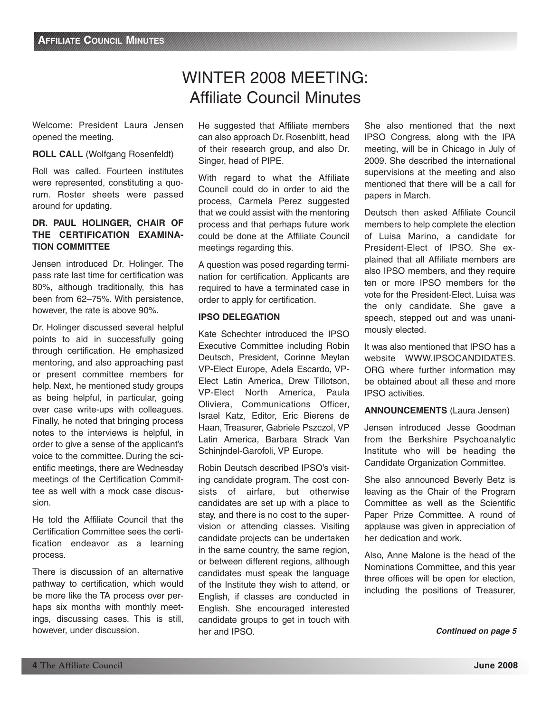## WINTER 2008 MEETING: Affiliate Council Minutes

Welcome: President Laura Jensen opened the meeting.

#### **ROLL CALL** (Wolfgang Rosenfeldt)

Roll was called. Fourteen institutes were represented, constituting a quorum. Roster sheets were passed around for updating.

#### **DR. PAUL HOLINGER, CHAIR OF THE CERTIFICATION EXAMINA-TION COMMITTEE**

Jensen introduced Dr. Holinger. The pass rate last time for certification was 80%, although traditionally, this has been from 62–75%. With persistence, however, the rate is above 90%.

Dr. Holinger discussed several helpful points to aid in successfully going through certification. He emphasized mentoring, and also approaching past or present committee members for help. Next, he mentioned study groups as being helpful, in particular, going over case write-ups with colleagues. Finally, he noted that bringing process notes to the interviews is helpful, in order to give a sense of the applicant's voice to the committee. During the scientific meetings, there are Wednesday meetings of the Certification Committee as well with a mock case discussion.

He told the Affiliate Council that the Certification Committee sees the certification endeavor as a learning process.

There is discussion of an alternative pathway to certification, which would be more like the TA process over perhaps six months with monthly meetings, discussing cases. This is still, however, under discussion.

He suggested that Affiliate members can also approach Dr. Rosenblitt, head of their research group, and also Dr. Singer, head of PIPE.

With regard to what the Affiliate Council could do in order to aid the process, Carmela Perez suggested that we could assist with the mentoring process and that perhaps future work could be done at the Affiliate Council meetings regarding this.

A question was posed regarding termination for certification. Applicants are required to have a terminated case in order to apply for certification.

#### **IPSO DELEGATION**

Kate Schechter introduced the IPSO Executive Committee including Robin Deutsch, President, Corinne Meylan VP-Elect Europe, Adela Escardo, VP-Elect Latin America, Drew Tillotson, VP-Elect North America, Paula Oliviera, Communications Officer, Israel Katz, Editor, Eric Bierens de Haan, Treasurer, Gabriele Pszczol, VP Latin America, Barbara Strack Van Schinjndel-Garofoli, VP Europe.

Robin Deutsch described IPSO's visiting candidate program. The cost consists of airfare, but otherwise candidates are set up with a place to stay, and there is no cost to the supervision or attending classes. Visiting candidate projects can be undertaken in the same country, the same region, or between different regions, although candidates must speak the language of the Institute they wish to attend, or English, if classes are conducted in English. She encouraged interested candidate groups to get in touch with her and IPSO.

She also mentioned that the next IPSO Congress, along with the IPA meeting, will be in Chicago in July of 2009. She described the international supervisions at the meeting and also mentioned that there will be a call for papers in March.

Deutsch then asked Affiliate Council members to help complete the election of Luisa Marino, a candidate for President-Elect of IPSO. She explained that all Affiliate members are also IPSO members, and they require ten or more IPSO members for the vote for the President-Elect. Luisa was the only candidate. She gave a speech, stepped out and was unanimously elected.

It was also mentioned that IPSO has a website WWW.IPSOCANDIDATES. ORG where further information may be obtained about all these and more IPSO activities.

#### **ANNOUNCEMENTS** (Laura Jensen)

Jensen introduced Jesse Goodman from the Berkshire Psychoanalytic Institute who will be heading the Candidate Organization Committee.

She also announced Beverly Betz is leaving as the Chair of the Program Committee as well as the Scientific Paper Prize Committee. A round of applause was given in appreciation of her dedication and work.

Also, Anne Malone is the head of the Nominations Committee, and this year three offices will be open for election, including the positions of Treasurer,

*Continued on page 5*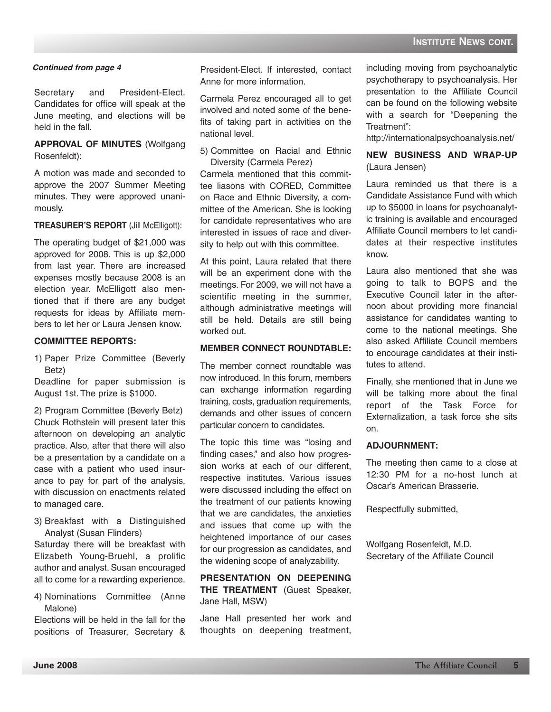Secretary and President-Elect. Candidates for office will speak at the June meeting, and elections will be held in the fall.

**APPROVAL OF MINUTES** (Wolfgang Rosenfeldt):

A motion was made and seconded to approve the 2007 Summer Meeting minutes. They were approved unanimously.

#### **TREASURER'S REPORT** (Jill McElligott):

The operating budget of \$21,000 was approved for 2008. This is up \$2,000 from last year. There are increased expenses mostly because 2008 is an election year. McElligott also mentioned that if there are any budget requests for ideas by Affiliate members to let her or Laura Jensen know.

#### **COMMITTEE REPORTS:**

1) Paper Prize Committee (Beverly Betz)

Deadline for paper submission is August 1st. The prize is \$1000.

2) Program Committee (Beverly Betz) Chuck Rothstein will present later this afternoon on developing an analytic practice. Also, after that there will also be a presentation by a candidate on a case with a patient who used insurance to pay for part of the analysis, with discussion on enactments related to managed care.

3) Breakfast with a Distinguished Analyst (Susan Flinders)

Saturday there will be breakfast with Elizabeth Young-Bruehl, a prolific author and analyst. Susan encouraged all to come for a rewarding experience.

4) Nominations Committee (Anne Malone)

Elections will be held in the fall for the positions of Treasurer, Secretary &

**Continued from page 4 including 1 resident-Elect.** If interested, contact including moving from psychoanalytic Anne for more information.

> Carmela Perez encouraged all to get involved and noted some of the benefits of taking part in activities on the national level.

> 5) Committee on Racial and Ethnic Diversity (Carmela Perez)

> Carmela mentioned that this committee liasons with CORED, Committee on Race and Ethnic Diversity, a committee of the American. She is looking for candidate representatives who are interested in issues of race and diversity to help out with this committee.

> At this point, Laura related that there will be an experiment done with the meetings. For 2009, we will not have a scientific meeting in the summer, although administrative meetings will still be held. Details are still being worked out.

#### **MEMBER CONNECT ROUNDTABLE:**

The member connect roundtable was now introduced. In this forum, members can exchange information regarding training, costs, graduation requirements, demands and other issues of concern particular concern to candidates.

The topic this time was "losing and finding cases," and also how progression works at each of our different, respective institutes. Various issues were discussed including the effect on the treatment of our patients knowing that we are candidates, the anxieties and issues that come up with the heightened importance of our cases for our progression as candidates, and the widening scope of analyzability.

**PRESENTATION ON DEEPENING THE TREATMENT** (Guest Speaker, Jane Hall, MSW)

Jane Hall presented her work and thoughts on deepening treatment, psychotherapy to psychoanalysis. Her presentation to the Affiliate Council can be found on the following website with a search for "Deepening the Treatment":

http://internationalpsychoanalysis.net/

**NEW BUSINESS AND WRAP-UP** (Laura Jensen)

Laura reminded us that there is a Candidate Assistance Fund with which up to \$5000 in loans for psychoanalytic training is available and encouraged Affiliate Council members to let candidates at their respective institutes know.

Laura also mentioned that she was going to talk to BOPS and the Executive Council later in the afternoon about providing more financial assistance for candidates wanting to come to the national meetings. She also asked Affiliate Council members to encourage candidates at their institutes to attend.

Finally, she mentioned that in June we will be talking more about the final report of the Task Force for Externalization, a task force she sits on.

#### **ADJOURNMENT:**

The meeting then came to a close at 12:30 PM for a no-host lunch at Oscar's American Brasserie.

Respectfully submitted,

Wolfgang Rosenfeldt, M.D. Secretary of the Affiliate Council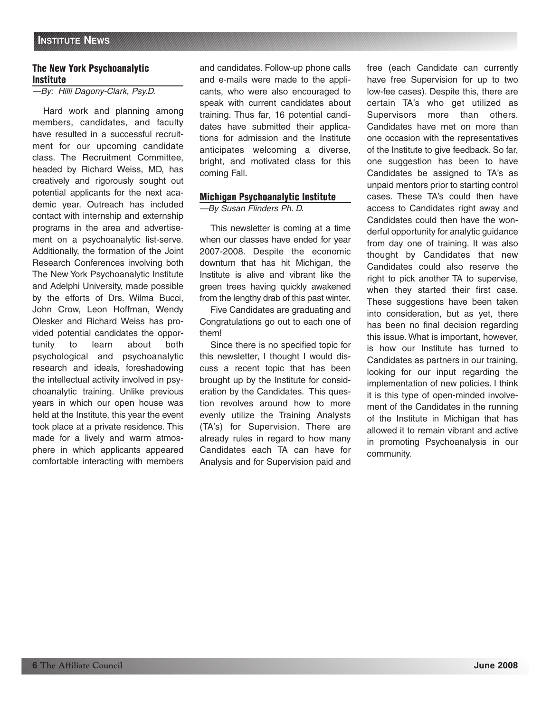#### **The New York Psychoanalytic Institute**

—By: Hilli Dagony-Clark, Psy.D.

Hard work and planning among members, candidates, and faculty have resulted in a successful recruitment for our upcoming candidate class. The Recruitment Committee, headed by Richard Weiss, MD, has creatively and rigorously sought out potential applicants for the next academic year. Outreach has included contact with internship and externship programs in the area and advertisement on a psychoanalytic list-serve. Additionally, the formation of the Joint Research Conferences involving both The New York Psychoanalytic Institute and Adelphi University, made possible by the efforts of Drs. Wilma Bucci, John Crow, Leon Hoffman, Wendy Olesker and Richard Weiss has provided potential candidates the opportunity to learn about both psychological and psychoanalytic research and ideals, foreshadowing the intellectual activity involved in psychoanalytic training. Unlike previous years in which our open house was held at the Institute, this year the event took place at a private residence. This made for a lively and warm atmosphere in which applicants appeared comfortable interacting with members

and candidates. Follow-up phone calls and e-mails were made to the applicants, who were also encouraged to speak with current candidates about training. Thus far, 16 potential candidates have submitted their applications for admission and the Institute anticipates welcoming a diverse, bright, and motivated class for this coming Fall.

#### **Michigan Psychoanalytic Institute**

—By Susan Flinders Ph. D.

This newsletter is coming at a time when our classes have ended for year 2007-2008. Despite the economic downturn that has hit Michigan, the Institute is alive and vibrant like the green trees having quickly awakened from the lengthy drab of this past winter.

Five Candidates are graduating and Congratulations go out to each one of them!

Since there is no specified topic for this newsletter, I thought I would discuss a recent topic that has been brought up by the Institute for consideration by the Candidates. This question revolves around how to more evenly utilize the Training Analysts (TA's) for Supervision. There are already rules in regard to how many Candidates each TA can have for Analysis and for Supervision paid and free (each Candidate can currently have free Supervision for up to two low-fee cases). Despite this, there are certain TA's who get utilized as Supervisors more than others. Candidates have met on more than one occasion with the representatives of the Institute to give feedback. So far, one suggestion has been to have Candidates be assigned to TA's as unpaid mentors prior to starting control cases. These TA's could then have access to Candidates right away and Candidates could then have the wonderful opportunity for analytic guidance from day one of training. It was also thought by Candidates that new Candidates could also reserve the right to pick another TA to supervise, when they started their first case. These suggestions have been taken into consideration, but as yet, there has been no final decision regarding this issue. What is important, however, is how our Institute has turned to Candidates as partners in our training, looking for our input regarding the implementation of new policies. I think it is this type of open-minded involvement of the Candidates in the running of the Institute in Michigan that has allowed it to remain vibrant and active in promoting Psychoanalysis in our community.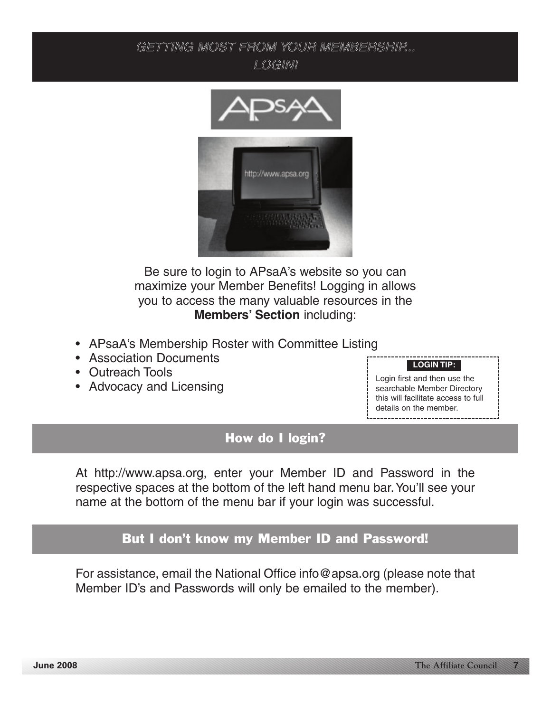### GETTING MOST FROM YOUR MEMBERSHIP... LOGIN!



Be sure to login to APsaA's website so you can maximize your Member Benefits! Logging in allows you to access the many valuable resources in the **Members' Section** including:

- APsaA's Membership Roster with Committee Listing
- Association Documents
- Outreach Tools
- Advocacy and Licensing

### **LOGIN TIP:**

Login first and then use the searchable Member Directory this will facilitate access to full details on the member.

### How do I login?

At http://www.apsa.org, enter your Member ID and Password in the respective spaces at the bottom of the left hand menu bar.You'll see your name at the bottom of the menu bar if your login was successful.

### But I don't know my Member ID and Password!

For assistance, email the National Office info@apsa.org (please note that Member ID's and Passwords will only be emailed to the member).